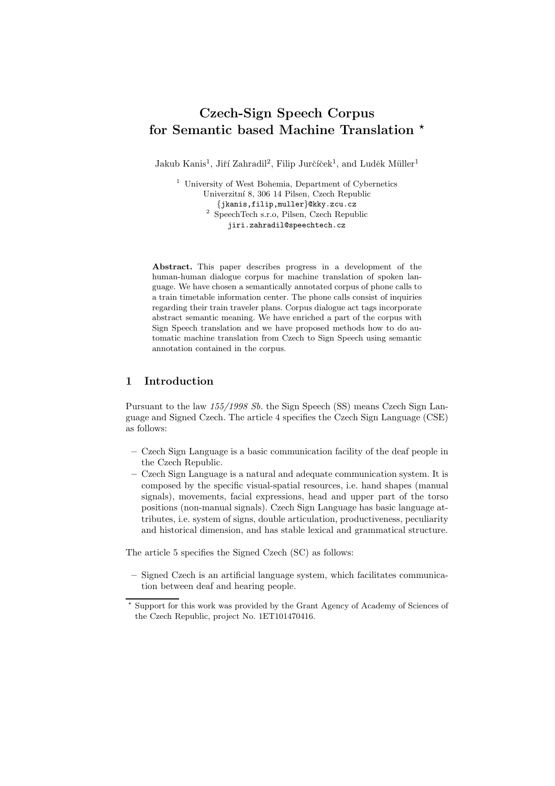# Czech-Sign Speech Corpus for Semantic based Machine Translation  $\star$

Jakub Kanis<sup>1</sup>, Jiří Zahradil<sup>2</sup>, Filip Jurčíček<sup>1</sup>, and Luděk Müller<sup>1</sup>

<sup>1</sup> University of West Bohemia, Department of Cybernetics Univerzitn´ı 8, 306 14 Pilsen, Czech Republic

{jkanis,filip,muller}@kky.zcu.cz 2 SpeechTech s.r.o, Pilsen, Czech Republic jiri.zahradil@speechtech.cz

Abstract. This paper describes progress in a development of the human-human dialogue corpus for machine translation of spoken language. We have chosen a semantically annotated corpus of phone calls to a train timetable information center. The phone calls consist of inquiries regarding their train traveler plans. Corpus dialogue act tags incorporate abstract semantic meaning. We have enriched a part of the corpus with Sign Speech translation and we have proposed methods how to do automatic machine translation from Czech to Sign Speech using semantic annotation contained in the corpus.

## 1 Introduction

Pursuant to the law  $155/1998$  Sb. the Sign Speech (SS) means Czech Sign Language and Signed Czech. The article 4 specifies the Czech Sign Language (CSE) as follows:

- Czech Sign Language is a basic communication facility of the deaf people in the Czech Republic.
- Czech Sign Language is a natural and adequate communication system. It is composed by the specific visual-spatial resources, i.e. hand shapes (manual signals), movements, facial expressions, head and upper part of the torso positions (non-manual signals). Czech Sign Language has basic language attributes, i.e. system of signs, double articulation, productiveness, peculiarity and historical dimension, and has stable lexical and grammatical structure.

The article 5 specifies the Signed Czech (SC) as follows:

– Signed Czech is an artificial language system, which facilitates communication between deaf and hearing people.

<sup>⋆</sup> Support for this work was provided by the Grant Agency of Academy of Sciences of the Czech Republic, project No. 1ET101470416.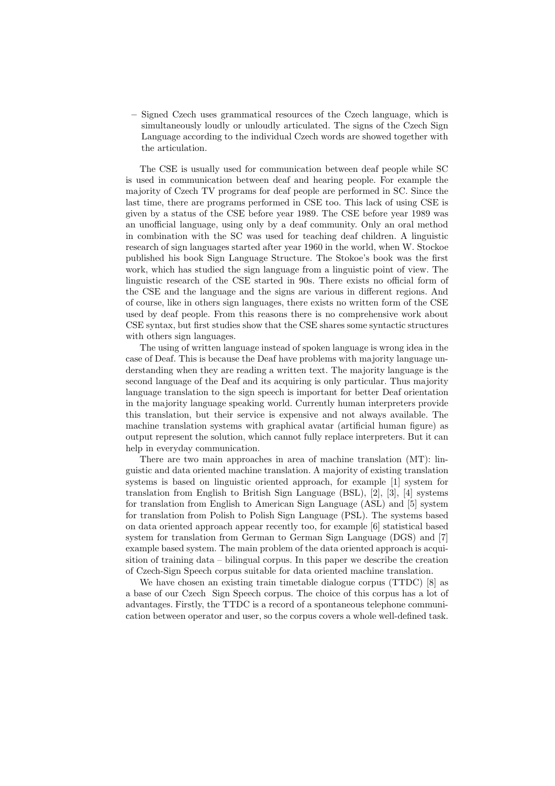– Signed Czech uses grammatical resources of the Czech language, which is simultaneously loudly or unloudly articulated. The signs of the Czech Sign Language according to the individual Czech words are showed together with the articulation.

The CSE is usually used for communication between deaf people while SC is used in communication between deaf and hearing people. For example the majority of Czech TV programs for deaf people are performed in SC. Since the last time, there are programs performed in CSE too. This lack of using CSE is given by a status of the CSE before year 1989. The CSE before year 1989 was an unofficial language, using only by a deaf community. Only an oral method in combination with the SC was used for teaching deaf children. A linguistic research of sign languages started after year 1960 in the world, when W. Stockoe published his book Sign Language Structure. The Stokoe's book was the first work, which has studied the sign language from a linguistic point of view. The linguistic research of the CSE started in 90s. There exists no official form of the CSE and the language and the signs are various in different regions. And of course, like in others sign languages, there exists no written form of the CSE used by deaf people. From this reasons there is no comprehensive work about CSE syntax, but first studies show that the CSE shares some syntactic structures with others sign languages.

The using of written language instead of spoken language is wrong idea in the case of Deaf. This is because the Deaf have problems with majority language understanding when they are reading a written text. The majority language is the second language of the Deaf and its acquiring is only particular. Thus majority language translation to the sign speech is important for better Deaf orientation in the majority language speaking world. Currently human interpreters provide this translation, but their service is expensive and not always available. The machine translation systems with graphical avatar (artificial human figure) as output represent the solution, which cannot fully replace interpreters. But it can help in everyday communication.

There are two main approaches in area of machine translation (MT): linguistic and data oriented machine translation. A majority of existing translation systems is based on linguistic oriented approach, for example [1] system for translation from English to British Sign Language (BSL), [2], [3], [4] systems for translation from English to American Sign Language (ASL) and [5] system for translation from Polish to Polish Sign Language (PSL). The systems based on data oriented approach appear recently too, for example [6] statistical based system for translation from German to German Sign Language (DGS) and [7] example based system. The main problem of the data oriented approach is acquisition of training data – bilingual corpus. In this paper we describe the creation of Czech-Sign Speech corpus suitable for data oriented machine translation.

We have chosen an existing train timetable dialogue corpus (TTDC) [8] as a base of our Czech Sign Speech corpus. The choice of this corpus has a lot of advantages. Firstly, the TTDC is a record of a spontaneous telephone communication between operator and user, so the corpus covers a whole well-defined task.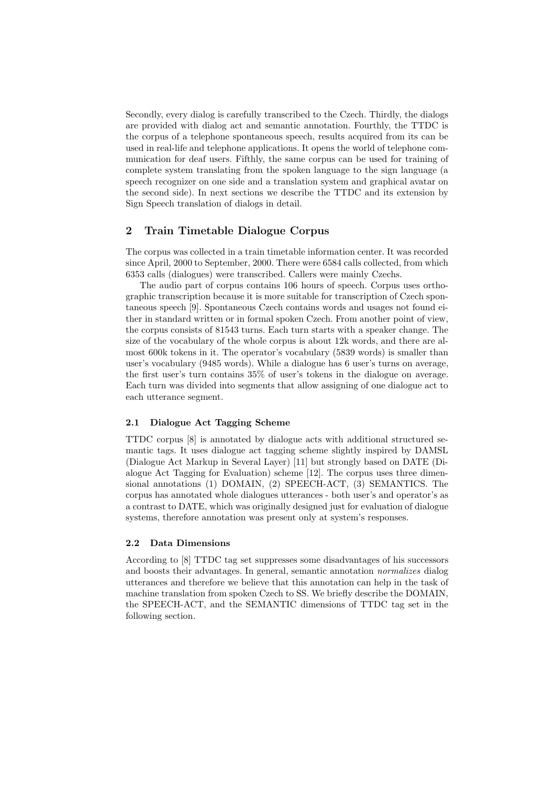Secondly, every dialog is carefully transcribed to the Czech. Thirdly, the dialogs are provided with dialog act and semantic annotation. Fourthly, the TTDC is the corpus of a telephone spontaneous speech, results acquired from its can be used in real-life and telephone applications. It opens the world of telephone communication for deaf users. Fifthly, the same corpus can be used for training of complete system translating from the spoken language to the sign language (a speech recognizer on one side and a translation system and graphical avatar on the second side). In next sections we describe the TTDC and its extension by Sign Speech translation of dialogs in detail.

# 2 Train Timetable Dialogue Corpus

The corpus was collected in a train timetable information center. It was recorded since April, 2000 to September, 2000. There were 6584 calls collected, from which 6353 calls (dialogues) were transcribed. Callers were mainly Czechs.

The audio part of corpus contains 106 hours of speech. Corpus uses orthographic transcription because it is more suitable for transcription of Czech spontaneous speech [9]. Spontaneous Czech contains words and usages not found either in standard written or in formal spoken Czech. From another point of view, the corpus consists of 81543 turns. Each turn starts with a speaker change. The size of the vocabulary of the whole corpus is about 12k words, and there are almost 600k tokens in it. The operator's vocabulary (5839 words) is smaller than user's vocabulary (9485 words). While a dialogue has 6 user's turns on average, the first user's turn contains 35% of user's tokens in the dialogue on average. Each turn was divided into segments that allow assigning of one dialogue act to each utterance segment.

## 2.1 Dialogue Act Tagging Scheme

TTDC corpus [8] is annotated by dialogue acts with additional structured semantic tags. It uses dialogue act tagging scheme slightly inspired by DAMSL (Dialogue Act Markup in Several Layer) [11] but strongly based on DATE (Dialogue Act Tagging for Evaluation) scheme [12]. The corpus uses three dimensional annotations (1) DOMAIN, (2) SPEECH-ACT, (3) SEMANTICS. The corpus has annotated whole dialogues utterances - both user's and operator's as a contrast to DATE, which was originally designed just for evaluation of dialogue systems, therefore annotation was present only at system's responses.

#### 2.2 Data Dimensions

According to [8] TTDC tag set suppresses some disadvantages of his successors and boosts their advantages. In general, semantic annotation normalizes dialog utterances and therefore we believe that this annotation can help in the task of machine translation from spoken Czech to SS. We briefly describe the DOMAIN, the SPEECH-ACT, and the SEMANTIC dimensions of TTDC tag set in the following section.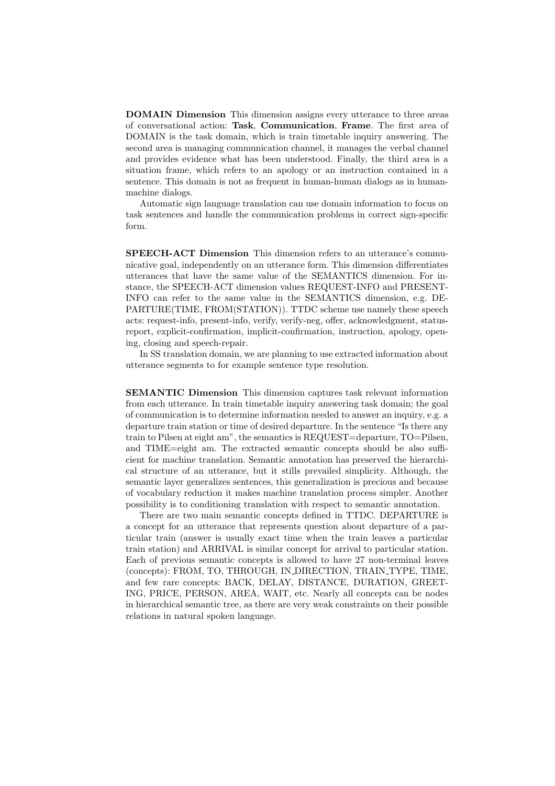DOMAIN Dimension This dimension assigns every utterance to three areas of conversational action: Task, Communication, Frame. The first area of DOMAIN is the task domain, which is train timetable inquiry answering. The second area is managing communication channel, it manages the verbal channel and provides evidence what has been understood. Finally, the third area is a situation frame, which refers to an apology or an instruction contained in a sentence. This domain is not as frequent in human-human dialogs as in humanmachine dialogs.

Automatic sign language translation can use domain information to focus on task sentences and handle the communication problems in correct sign-specific form.

SPEECH-ACT Dimension This dimension refers to an utterance's communicative goal, independently on an utterance form. This dimension differentiates utterances that have the same value of the SEMANTICS dimension. For instance, the SPEECH-ACT dimension values REQUEST-INFO and PRESENT-INFO can refer to the same value in the SEMANTICS dimension, e.g. DE-PARTURE(TIME, FROM(STATION)). TTDC scheme use namely these speech acts: request-info, present-info, verify, verify-neg, offer, acknowledgment, statusreport, explicit-confirmation, implicit-confirmation, instruction, apology, opening, closing and speech-repair.

In SS translation domain, we are planning to use extracted information about utterance segments to for example sentence type resolution.

SEMANTIC Dimension This dimension captures task relevant information from each utterance. In train timetable inquiry answering task domain; the goal of communication is to determine information needed to answer an inquiry, e.g. a departure train station or time of desired departure. In the sentence "Is there any train to Pilsen at eight am", the semantics is REQUEST=departure, TO=Pilsen, and TIME=eight am. The extracted semantic concepts should be also sufficient for machine translation. Semantic annotation has preserved the hierarchical structure of an utterance, but it stills prevailed simplicity. Although, the semantic layer generalizes sentences, this generalization is precious and because of vocabulary reduction it makes machine translation process simpler. Another possibility is to conditioning translation with respect to semantic annotation.

There are two main semantic concepts defined in TTDC. DEPARTURE is a concept for an utterance that represents question about departure of a particular train (answer is usually exact time when the train leaves a particular train station) and ARRIVAL is similar concept for arrival to particular station. Each of previous semantic concepts is allowed to have 27 non-terminal leaves (concepts): FROM, TO, THROUGH, IN DIRECTION, TRAIN TYPE, TIME, and few rare concepts: BACK, DELAY, DISTANCE, DURATION, GREET-ING, PRICE, PERSON, AREA, WAIT, etc. Nearly all concepts can be nodes in hierarchical semantic tree, as there are very weak constraints on their possible relations in natural spoken language.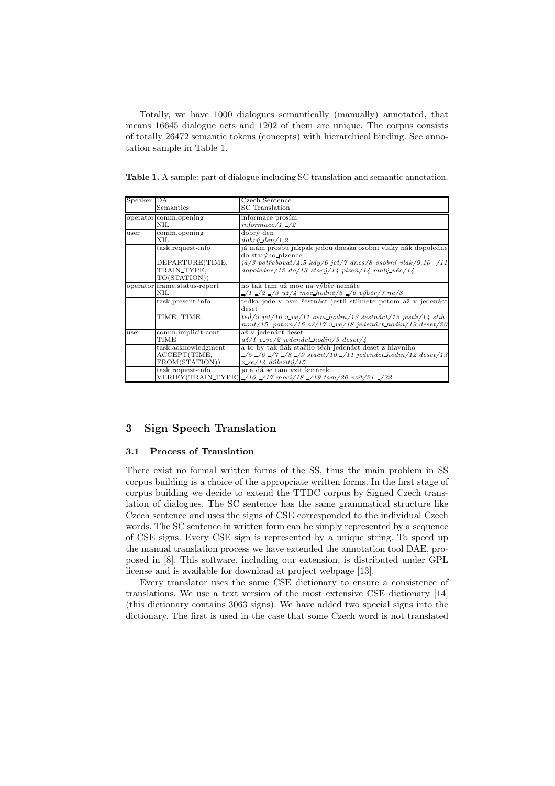Totally, we have 1000 dialogues semantically (manually) annotated, that means 16645 dialogue acts and 1202 of them are unique. The corpus consists of totally 26472 semantic tokens (concepts) with hierarchical binding. See annotation sample in Table 1.

Table 1. A sample: part of dialogue including SC translation and semantic annotation.

| Speaker DA             |                                                        | Czech Sentence                                                                                                                                        |  |
|------------------------|--------------------------------------------------------|-------------------------------------------------------------------------------------------------------------------------------------------------------|--|
|                        | Semantics                                              | <b>SC</b> Translation                                                                                                                                 |  |
| operator comm, opening |                                                        | informace prosím                                                                                                                                      |  |
|                        | <b>NIL</b>                                             | $informed/1$ /2                                                                                                                                       |  |
| user                   | comm, opening                                          | dobrý den                                                                                                                                             |  |
|                        | NIL                                                    | $dobr\acute{y}\_den/1,2$                                                                                                                              |  |
|                        | $task, request-info$                                   | já mám prosbu jakpak jedou dneska osobní vlaky ňák dopoledne<br>do starýho plzence                                                                    |  |
|                        | DEPARTURE(TIME,<br>TRAIN TYPE.<br>TO(STATION))         | $j\acute{a}/3$ potřebovat $/4,5$ kdy $/6$ jet $/7$ dnes $/8$ osobní vlak $/9,10$ $/11$<br>$dopoledne/12 dof/13 stary/14 plzeñ/14 maly věc/14$         |  |
|                        | operator frame, status-report<br><b>NIL</b>            | no tak tam už moc na výběr nemáte<br>$-$ /1 $-$ /2 $-$ /3 $u\check{z}/4$ moc_hodně/5 $-$ /6 výběr/7 ne/8                                              |  |
|                        | task, present-info                                     | tedka jede v osm šestnáct jestli stihnete potom až v jedenáct<br>$_{\text{deset}}$                                                                    |  |
|                        | TIME, TIME                                             | $ted/9~jet/10~v\_ve/11~osm~hodin/12~šestnáct/13~jestli/14~stih-$<br>$nout/15$ potom/16 $a\ddot{z}/17$ v ve/18 jedenáct hodin/19 deset/20              |  |
| user                   | comm, implicit-conf<br><b>TIME</b>                     | až v jedenáct deset<br>$a\ddot{z}/1$ v_ve/2 jedenáct_hodin/3 deset/4                                                                                  |  |
|                        | task, acknowledgment<br>ACCEPT(TIME,<br>FROM(STATION)) | a to by tak ňák stačilo těch jedenáct deset z hlavního<br>$\frac{1}{5}$ /6 /7 /8 /9 stačit/10 /11 jedenáct hodin/12 deset/13<br>$z$ ze/14 důležitý/15 |  |
|                        | $task, request-info$                                   | jo a dá se tam vzít kočárek<br>VERIFY(TRAIN_TYPE) _/16 _/17 moci/18 _/19 tam/20 vzít/21 _/22                                                          |  |

# 3 Sign Speech Translation

#### 3.1 Process of Translation

There exist no formal written forms of the SS, thus the main problem in SS corpus building is a choice of the appropriate written forms. In the first stage of corpus building we decide to extend the TTDC corpus by Signed Czech translation of dialogues. The SC sentence has the same grammatical structure like Czech sentence and uses the signs of CSE corresponded to the individual Czech words. The SC sentence in written form can be simply represented by a sequence of CSE signs. Every CSE sign is represented by a unique string. To speed up the manual translation process we have extended the annotation tool DAE, proposed in [8]. This software, including our extension, is distributed under GPL license and is available for download at project webpage [13].

Every translator uses the same CSE dictionary to ensure a consistence of translations. We use a text version of the most extensive CSE dictionary [14] (this dictionary contains 3063 signs). We have added two special signs into the dictionary. The first is used in the case that some Czech word is not translated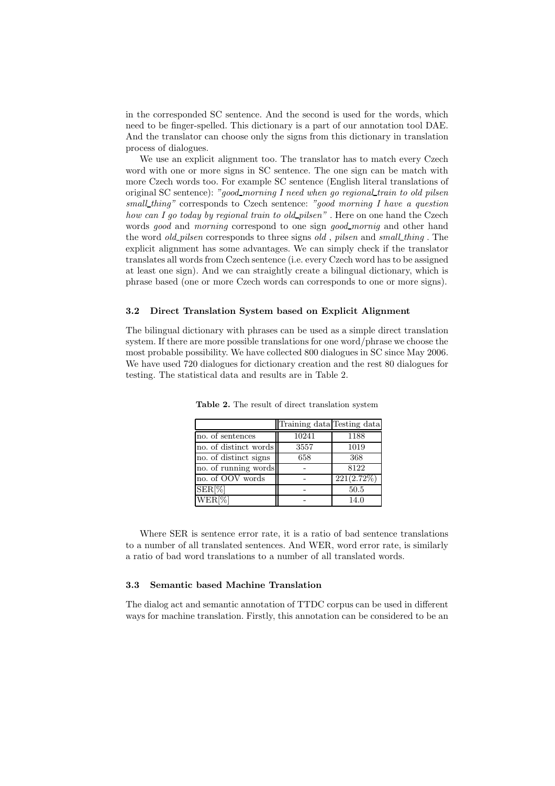in the corresponded SC sentence. And the second is used for the words, which need to be finger-spelled. This dictionary is a part of our annotation tool DAE. And the translator can choose only the signs from this dictionary in translation process of dialogues.

We use an explicit alignment too. The translator has to match every Czech word with one or more signs in SC sentence. The one sign can be match with more Czech words too. For example SC sentence (English literal translations of original SC sentence): "good\_morning I need when go regional\_train to old pilsen small\_thing" corresponds to Czech sentence: "good morning I have a question how can I go today by regional train to old pilsen". Here on one hand the Czech words good and morning correspond to one sign good mornig and other hand the word *old\_pilsen* corresponds to three signs *old*, *pilsen* and *small thing*. The explicit alignment has some advantages. We can simply check if the translator translates all words from Czech sentence (i.e. every Czech word has to be assigned at least one sign). And we can straightly create a bilingual dictionary, which is phrase based (one or more Czech words can corresponds to one or more signs).

#### 3.2 Direct Translation System based on Explicit Alignment

The bilingual dictionary with phrases can be used as a simple direct translation system. If there are more possible translations for one word/phrase we choose the most probable possibility. We have collected 800 dialogues in SC since May 2006. We have used 720 dialogues for dictionary creation and the rest 80 dialogues for testing. The statistical data and results are in Table 2.

|                       | Training data Testing data |            |
|-----------------------|----------------------------|------------|
| no. of sentences      | 10241                      | 1188       |
| no. of distinct words | 3557                       | 1019       |
| no. of distinct signs | 658                        | 368        |
| no. of running words  |                            | 8122       |
| no. of OOV words      |                            | 221(2.72%) |
| $SER[\%]$             |                            | 50.5       |
| $WER[\%]$             |                            | 14.0       |

Table 2. The result of direct translation system

Where SER is sentence error rate, it is a ratio of bad sentence translations to a number of all translated sentences. And WER, word error rate, is similarly a ratio of bad word translations to a number of all translated words.

## 3.3 Semantic based Machine Translation

The dialog act and semantic annotation of TTDC corpus can be used in different ways for machine translation. Firstly, this annotation can be considered to be an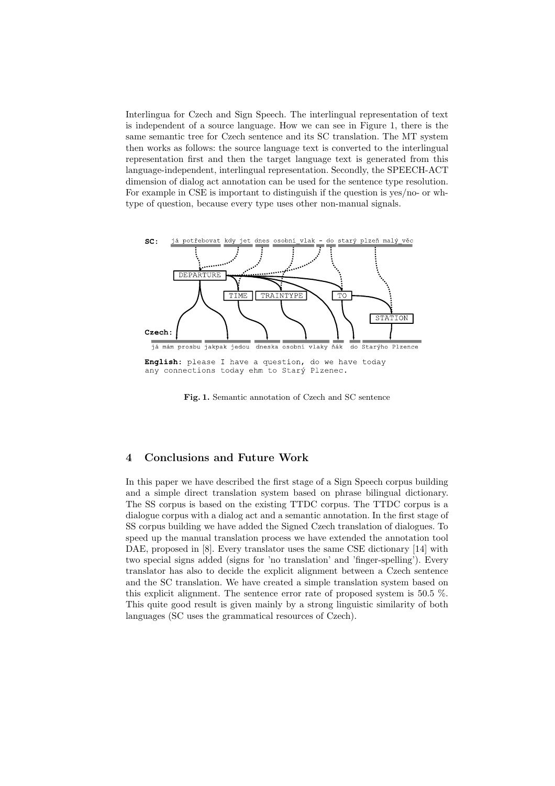Interlingua for Czech and Sign Speech. The interlingual representation of text is independent of a source language. How we can see in Figure 1, there is the same semantic tree for Czech sentence and its SC translation. The MT system then works as follows: the source language text is converted to the interlingual representation first and then the target language text is generated from this language-independent, interlingual representation. Secondly, the SPEECH-ACT dimension of dialog act annotation can be used for the sentence type resolution. For example in CSE is important to distinguish if the question is yes/no- or whtype of question, because every type uses other non-manual signals.



English: please I have a question, do we have today any connections today ehm to Starý Plzenec.

Fig. 1. Semantic annotation of Czech and SC sentence

## 4 Conclusions and Future Work

In this paper we have described the first stage of a Sign Speech corpus building and a simple direct translation system based on phrase bilingual dictionary. The SS corpus is based on the existing TTDC corpus. The TTDC corpus is a dialogue corpus with a dialog act and a semantic annotation. In the first stage of SS corpus building we have added the Signed Czech translation of dialogues. To speed up the manual translation process we have extended the annotation tool DAE, proposed in [8]. Every translator uses the same CSE dictionary [14] with two special signs added (signs for 'no translation' and 'finger-spelling'). Every translator has also to decide the explicit alignment between a Czech sentence and the SC translation. We have created a simple translation system based on this explicit alignment. The sentence error rate of proposed system is 50.5 %. This quite good result is given mainly by a strong linguistic similarity of both languages (SC uses the grammatical resources of Czech).